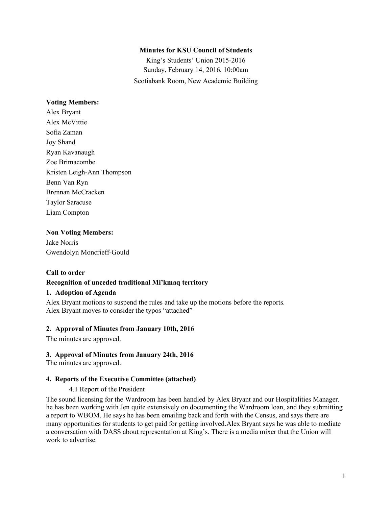## **Minutes for KSU Council of Students**

King's Students' Union 2015-2016 Sunday, February 14, 2016, 10:00am Scotiabank Room, New Academic Building

## **Voting Members:**

Alex Bryant Alex McVittie Sofia Zaman Joy Shand Ryan Kavanaugh Zoe Brimacombe Kristen Leigh-Ann Thompson Benn Van Ryn Brennan McCracken Taylor Saracuse Liam Compton

## **Non Voting Members:**

Jake Norris Gwendolyn Moncrieff-Gould

#### **Call to order**

## **Recognition of unceded traditional Mi'kmaq territory**

## **1. Adoption of Agenda**

Alex Bryant motions to suspend the rules and take up the motions before the reports. Alex Bryant moves to consider the typos "attached"

#### **2. Approval of Minutes from January 10th, 2016**

The minutes are approved.

#### **3. Approval of Minutes from January 24th, 2016**

The minutes are approved.

#### **4. Reports of the Executive Committee (attached)**

#### 4.1 Report of the President

The sound licensing for the Wardroom has been handled by Alex Bryant and our Hospitalities Manager. he has been working with Jen quite extensively on documenting the Wardroom loan, and they submitting a report to WBOM. He says he has been emailing back and forth with the Census, and says there are many opportunities for students to get paid for getting involved.Alex Bryant says he was able to mediate a conversation with DASS about representation at King's. There is a media mixer that the Union will work to advertise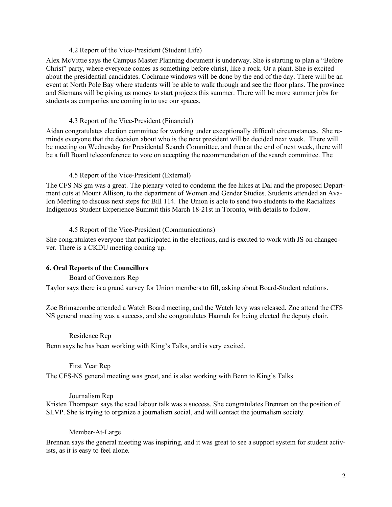### 4.2 Report of the Vice-President (Student Life)

Alex McVittie says the Campus Master Planning document is underway. She is starting to plan a "Before Christ" party, where everyone comes as something before christ, like a rock. Or a plant. She is excited about the presidential candidates. Cochrane windows will be done by the end of the day. There will be an event at North Pole Bay where students will be able to walk through and see the floor plans. The province and Siemans will be giving us money to start projects this summer. There will be more summer jobs for students as companies are coming in to use our spaces.

#### 4.3 Report of the Vice-President (Financial)

Aidan congratulates election committee for working under exceptionally difficult circumstances. She reminds everyone that the decision about who is the next president will be decided next week. There will be meeting on Wednesday for Presidental Search Committee, and then at the end of next week, there will be a full Board teleconference to vote on accepting the recommendation of the search committee. The

### 4.5 Report of the Vice-President (External)

The CFS NS gm was a great. The plenary voted to condemn the fee hikes at Dal and the proposed Department cuts at Mount Allison, to the department of Women and Gender Studies. Students attended an Avalon Meeting to discuss next steps for Bill 114. The Union is able to send two students to the Racializes Indigenous Student Experience Summit this March 18-21st in Toronto, with details to follow.

#### 4.5 Report of the Vice-President (Communications)

She congratulates everyone that participated in the elections, and is excited to work with JS on changeover. There is a CKDU meeting coming up.

## **6. Oral Reports of the Councillors**

Board of Governors Rep

Taylor says there is a grand survey for Union members to fill, asking about Board-Student relations.

Zoe Brimacombe attended a Watch Board meeting, and the Watch levy was released. Zoe attend the CFS NS general meeting was a success, and she congratulates Hannah for being elected the deputy chair.

#### Residence Rep

Benn says he has been working with King's Talks, and is very excited.

### First Year Rep

The CFS-NS general meeting was great, and is also working with Benn to King's Talks

## Journalism Rep

Kristen Thompson says the scad labour talk was a success. She congratulates Brennan on the position of SLVP. She is trying to organize a journalism social, and will contact the journalism society.

#### Member-At-Large

Brennan says the general meeting was inspiring, and it was great to see a support system for student activists, as it is easy to feel alone.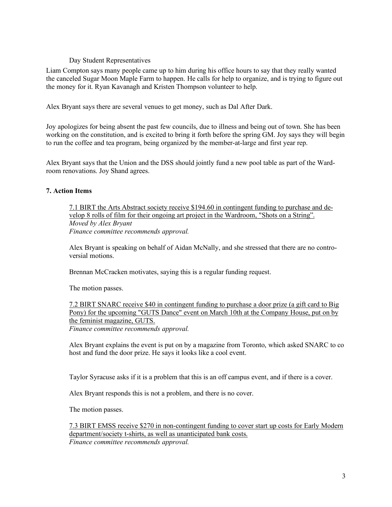## Day Student Representatives

Liam Compton says many people came up to him during his office hours to say that they really wanted the canceled Sugar Moon Maple Farm to happen. He calls for help to organize, and is trying to figure out the money for it. Ryan Kavanagh and Kristen Thompson volunteer to help.

Alex Bryant says there are several venues to get money, such as Dal After Dark.

Joy apologizes for being absent the past few councils, due to illness and being out of town. She has been working on the constitution, and is excited to bring it forth before the spring GM. Joy says they will begin to run the coffee and tea program, being organized by the member-at-large and first year rep.

Alex Bryant says that the Union and the DSS should jointly fund a new pool table as part of the Wardroom renovations. Joy Shand agrees.

## **7. Action Items**

7.1 BIRT the Arts Abstract society receive \$194.60 in contingent funding to purchase and develop 8 rolls of film for their ongoing art project in the Wardroom, "Shots on a String". *Moved by Alex Bryant Finance committee recommends approval.*

Alex Bryant is speaking on behalf of Aidan McNally, and she stressed that there are no controversial motions.

Brennan McCracken motivates, saying this is a regular funding request.

The motion passes.

7.2 BIRT SNARC receive \$40 in contingent funding to purchase a door prize (a gift card to Big Pony) for the upcoming "GUTS Dance" event on March 10th at the Company House, put on by the feminist magazine, GUTS. *Finance committee recommends approval.*

Alex Bryant explains the event is put on by a magazine from Toronto, which asked SNARC to co host and fund the door prize. He says it looks like a cool event.

Taylor Syracuse asks if it is a problem that this is an off campus event, and if there is a cover.

Alex Bryant responds this is not a problem, and there is no cover.

The motion passes.

7.3 BIRT EMSS receive \$270 in non-contingent funding to cover start up costs for Early Modern department/society t-shirts, as well as unanticipated bank costs. *Finance committee recommends approval.*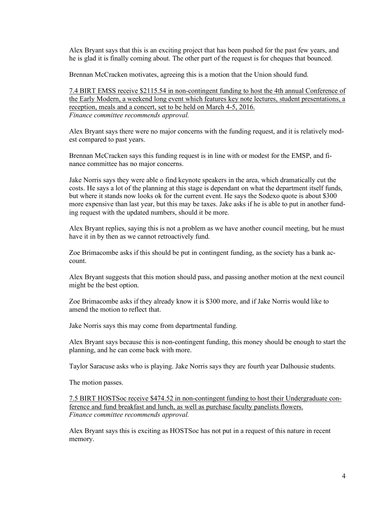Alex Bryant says that this is an exciting project that has been pushed for the past few years, and he is glad it is finally coming about. The other part of the request is for cheques that bounced.

Brennan McCracken motivates, agreeing this is a motion that the Union should fund.

7.4 BIRT EMSS receive \$2115.54 in non-contingent funding to host the 4th annual Conference of the Early Modern, a weekend long event which features key note lectures, student presentations, a reception, meals and a concert, set to be held on March 4-5, 2016. *Finance committee recommends approval.*

Alex Bryant says there were no major concerns with the funding request, and it is relatively modest compared to past years.

Brennan McCracken says this funding request is in line with or modest for the EMSP, and finance committee has no major concerns.

Jake Norris says they were able o find keynote speakers in the area, which dramatically cut the costs. He says a lot of the planning at this stage is dependant on what the department itself funds, but where it stands now looks ok for the current event. He says the Sodexo quote is about \$300 more expensive than last year, but this may be taxes. Jake asks if he is able to put in another funding request with the updated numbers, should it be more.

Alex Bryant replies, saying this is not a problem as we have another council meeting, but he must have it in by then as we cannot retroactively fund.

Zoe Brimacombe asks if this should be put in contingent funding, as the society has a bank account.

Alex Bryant suggests that this motion should pass, and passing another motion at the next council might be the best option.

Zoe Brimacombe asks if they already know it is \$300 more, and if Jake Norris would like to amend the motion to reflect that.

Jake Norris says this may come from departmental funding.

Alex Bryant says because this is non-contingent funding, this money should be enough to start the planning, and he can come back with more.

Taylor Saracuse asks who is playing. Jake Norris says they are fourth year Dalhousie students.

The motion passes.

7.5 BIRT HOSTSoc receive \$474.52 in non-contingent funding to host their Undergraduate conference and fund breakfast and lunch, as well as purchase faculty panelists flowers. *Finance committee recommends approval.*

Alex Bryant says this is exciting as HOSTSoc has not put in a request of this nature in recent memory.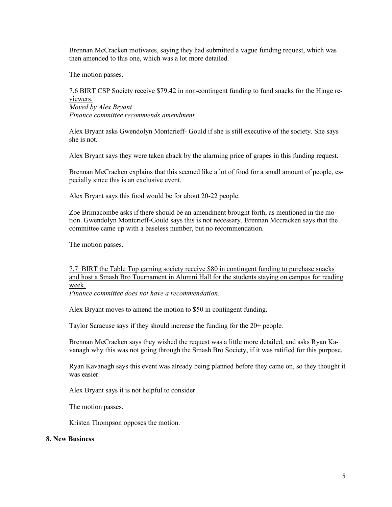Brennan McCracken motivates, saying they had submitted a vague funding request, which was then amended to this one, which was a lot more detailed.

The motion passes.

# 7.6 BIRT CSP Society receive \$79.42 in non-contingent funding to fund snacks for the Hinge reviewers.

*Moved by Alex Bryant Finance committee recommends amendment.*

Alex Bryant asks Gwendolyn Montcrieff- Gould if she is still executive of the society. She says she is not.

Alex Bryant says they were taken aback by the alarming price of grapes in this funding request.

Brennan McCracken explains that this seemed like a lot of food for a small amount of people, especially since this is an exclusive event.

Alex Bryant says this food would be for about 20-22 people.

Zoe Brimacombe asks if there should be an amendment brought forth, as mentioned in the motion. Gwendolyn Montcrieff-Gould says this is not necessary. Brennan Mccracken says that the committee came up with a baseless number, but no recommendation.

The motion passes.

7.7 BIRT the Table Top gaming society receive \$80 in contingent funding to purchase snacks and host a Smash Bro Tournament in Alumni Hall for the students staying on campus for reading week.

*Finance committee does not have a recommendation.*

Alex Bryant moves to amend the motion to \$50 in contingent funding.

Taylor Saracuse says if they should increase the funding for the 20+ people.

Brennan McCracken says they wished the request was a little more detailed, and asks Ryan Kavanagh why this was not going through the Smash Bro Society, if it was ratified for this purpose.

Ryan Kavanagh says this event was already being planned before they came on, so they thought it was easier.

Alex Bryant says it is not helpful to consider

The motion passes.

Kristen Thompson opposes the motion.

#### **8. New Business**